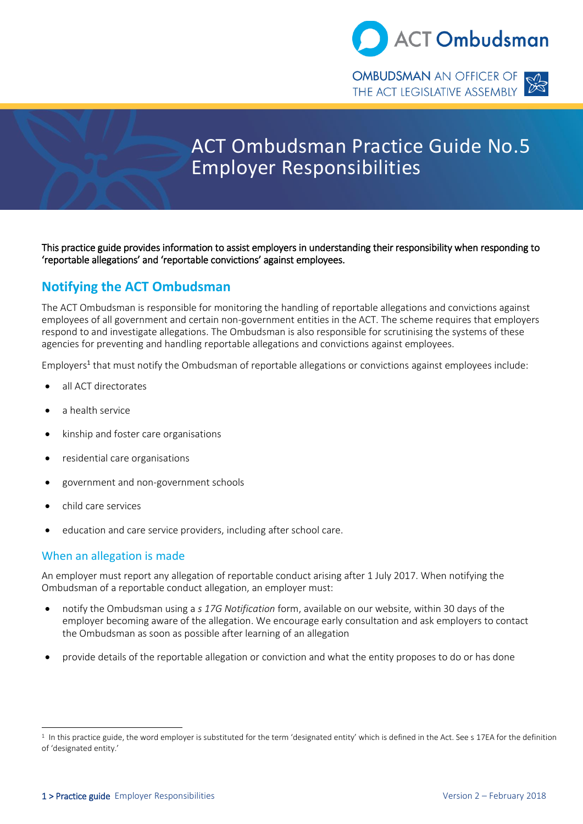

THE ACT LEGISLATIVE ASSEMBLY



# ACT Ombudsman Practice Guide No.5 Employer Responsibilities

This practice guide provides information to assist employers in understanding their responsibility when responding to 'reportable allegations' and 'reportable convictions' against employees.

# **Notifying the ACT Ombudsman**

The ACT Ombudsman is responsible for monitoring the handling of reportable allegations and convictions against employees of all government and certain non-government entities in the ACT. The scheme requires that employers respond to and investigate allegations. The Ombudsman is also responsible for scrutinising the systems of these agencies for preventing and handling reportable allegations and convictions against employees.

Employers<sup>1</sup> that must notify the Ombudsman of reportable allegations or convictions against employees include:

- all ACT directorates
- a health service
- kinship and foster care organisations
- residential care organisations
- government and non-government schools
- child care services
- education and care service providers, including after school care.

### When an allegation is made

An employer must report any allegation of reportable conduct arising after 1 July 2017. When notifying the Ombudsman of a reportable conduct allegation, an employer must:

- notify the Ombudsman using a *s 17G Notification* form, available on our website, within 30 days of the employer becoming aware of the allegation. We encourage early consultation and ask employers to contact the Ombudsman as soon as possible after learning of an allegation
- provide details of the reportable allegation or conviction and what the entity proposes to do or has done

 $<sup>1</sup>$  In this practice guide, the word employer is substituted for the term 'designated entity' which is defined in the Act. See s 17EA for the definition</sup> of 'designated entity.'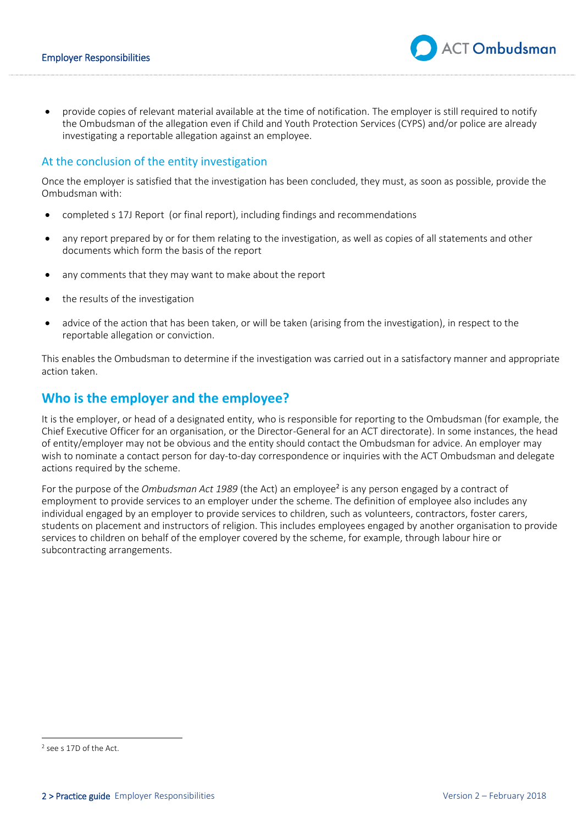provide copies of relevant material available at the time of notification. The employer is still required to notify the Ombudsman of the allegation even if Child and Youth Protection Services (CYPS) and/or police are already investigating a reportable allegation against an employee.

### At the conclusion of the entity investigation

Once the employer is satisfied that the investigation has been concluded, they must, as soon as possible, provide the Ombudsman with:

- completed s 17J Report (or final report), including findings and recommendations
- any report prepared by or for them relating to the investigation, as well as copies of all statements and other documents which form the basis of the report
- any comments that they may want to make about the report
- the results of the investigation
- advice of the action that has been taken, or will be taken (arising from the investigation), in respect to the reportable allegation or conviction.

This enables the Ombudsman to determine if the investigation was carried out in a satisfactory manner and appropriate action taken.

## **Who is the employer and the employee?**

It is the employer, or head of a designated entity, who is responsible for reporting to the Ombudsman (for example, the Chief Executive Officer for an organisation, or the Director-General for an ACT directorate). In some instances, the head of entity/employer may not be obvious and the entity should contact the Ombudsman for advice. An employer may wish to nominate a contact person for day-to-day correspondence or inquiries with the ACT Ombudsman and delegate actions required by the scheme.

For the purpose of the *Ombudsman Act 1989* (the Act) an employee<sup>2</sup> is any person engaged by a contract of employment to provide services to an employer under the scheme. The definition of employee also includes any individual engaged by an employer to provide services to children, such as volunteers, contractors, foster carers, students on placement and instructors of religion. This includes employees engaged by another organisation to provide services to children on behalf of the employer covered by the scheme, for example, through labour hire or subcontracting arrangements.

**ACT Ombudsman** 

<sup>2</sup> see s 17D of the Act.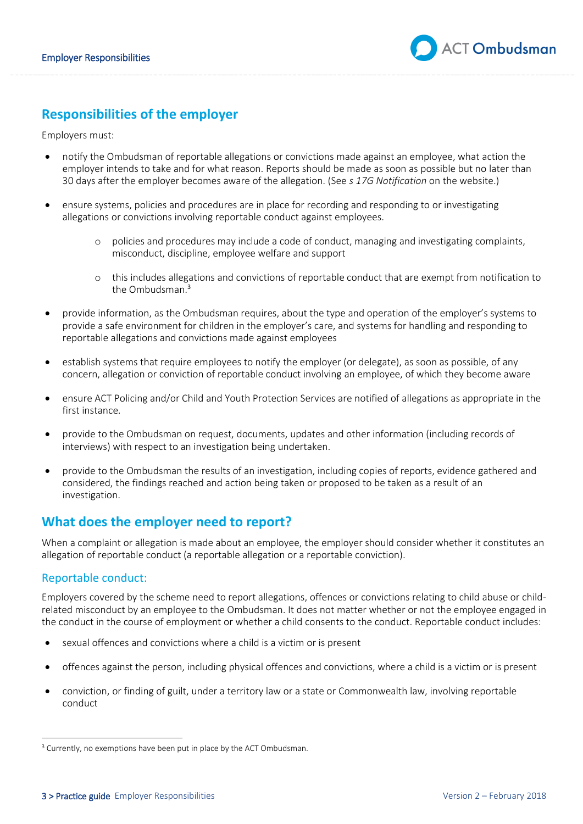# **Responsibilities of the employer**

Employers must:

- notify the Ombudsman of reportable allegations or convictions made against an employee, what action the employer intends to take and for what reason. Reports should be made as soon as possible but no later than 30 days after the employer becomes aware of the allegation. (See *s 17G Notification* on the website.)
- ensure systems, policies and procedures are in place for recording and responding to or investigating allegations or convictions involving reportable conduct against employees.
	- policies and procedures may include a code of conduct, managing and investigating complaints, misconduct, discipline, employee welfare and support
	- o this includes allegations and convictions of reportable conduct that are exempt from notification to the Ombudsman $^3$
- provide information, as the Ombudsman requires, about the type and operation of the employer's systems to provide a safe environment for children in the employer's care, and systems for handling and responding to reportable allegations and convictions made against employees
- establish systems that require employees to notify the employer (or delegate), as soon as possible, of any concern, allegation or conviction of reportable conduct involving an employee, of which they become aware
- ensure ACT Policing and/or Child and Youth Protection Services are notified of allegations as appropriate in the first instance.
- provide to the Ombudsman on request, documents, updates and other information (including records of interviews) with respect to an investigation being undertaken.
- provide to the Ombudsman the results of an investigation, including copies of reports, evidence gathered and considered, the findings reached and action being taken or proposed to be taken as a result of an investigation.

# **What does the employer need to report?**

When a complaint or allegation is made about an employee, the employer should consider whether it constitutes an allegation of reportable conduct (a reportable allegation or a reportable conviction).

### Reportable conduct:

Employers covered by the scheme need to report allegations, offences or convictions relating to child abuse or childrelated misconduct by an employee to the Ombudsman. It does not matter whether or not the employee engaged in the conduct in the course of employment or whether a child consents to the conduct. Reportable conduct includes:

- sexual offences and convictions where a child is a victim or is present
- offences against the person, including physical offences and convictions, where a child is a victim or is present
- conviction, or finding of guilt, under a territory law or a state or Commonwealth law, involving reportable conduct

<sup>&</sup>lt;sup>3</sup> Currently, no exemptions have been put in place by the ACT Ombudsman.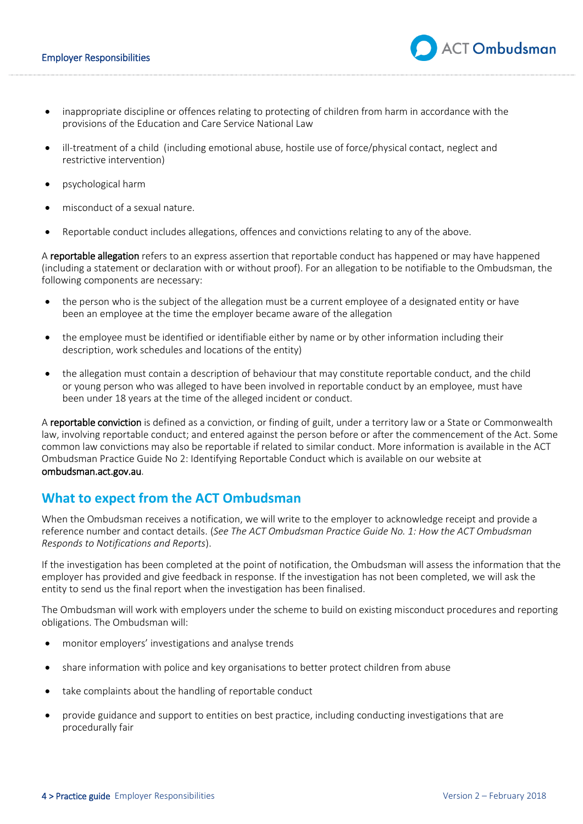- inappropriate discipline or offences relating to protecting of children from harm in accordance with the provisions of the Education and Care Service National Law
- ill-treatment of a child (including emotional abuse, hostile use of force/physical contact, neglect and restrictive intervention)
- psychological harm
- misconduct of a sexual nature.
- Reportable conduct includes allegations, offences and convictions relating to any of the above.

A reportable allegation refers to an express assertion that reportable conduct has happened or may have happened (including a statement or declaration with or without proof). For an allegation to be notifiable to the Ombudsman, the following components are necessary:

- the person who is the subject of the allegation must be a current employee of a designated entity or have been an employee at the time the employer became aware of the allegation
- the employee must be identified or identifiable either by name or by other information including their description, work schedules and locations of the entity)
- the allegation must contain a description of behaviour that may constitute reportable conduct, and the child or young person who was alleged to have been involved in reportable conduct by an employee, must have been under 18 years at the time of the alleged incident or conduct.

A reportable conviction is defined as a conviction, or finding of guilt, under a territory law or a State or Commonwealth law, involving reportable conduct; and entered against the person before or after the commencement of the Act. Some common law convictions may also be reportable if related to similar conduct. More information is available in the ACT Ombudsman Practice Guide No 2: Identifying Reportable Conduct which is available on our website at ombudsman.act.gov.au.

### **What to expect from the ACT Ombudsman**

When the Ombudsman receives a notification, we will write to the employer to acknowledge receipt and provide a reference number and contact details. (*See The ACT Ombudsman Practice Guide No. 1: How the ACT Ombudsman Responds to Notifications and Reports*).

If the investigation has been completed at the point of notification, the Ombudsman will assess the information that the employer has provided and give feedback in response. If the investigation has not been completed, we will ask the entity to send us the final report when the investigation has been finalised.

The Ombudsman will work with employers under the scheme to build on existing misconduct procedures and reporting obligations. The Ombudsman will:

- monitor employers' investigations and analyse trends
- share information with police and key organisations to better protect children from abuse
- take complaints about the handling of reportable conduct
- provide guidance and support to entities on best practice, including conducting investigations that are procedurally fair

**ACT Ombudsman**